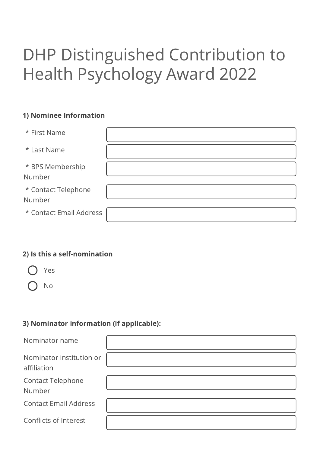# DHP Distinguished Contribution to Health Psychology Award 2022

### 1) Nominee Information

| * First Name                  |  |
|-------------------------------|--|
| * Last Name                   |  |
| * BPS Membership<br>Number    |  |
| * Contact Telephone<br>Number |  |
| * Contact Email Address       |  |

#### 2) Is this a self-nomination



No

# 3) Nominator information (if applicable):

| Nominator name                          |  |
|-----------------------------------------|--|
| Nominator institution or<br>affiliation |  |
| <b>Contact Telephone</b><br>Number      |  |
| <b>Contact Email Address</b>            |  |
| <b>Conflicts of Interest</b>            |  |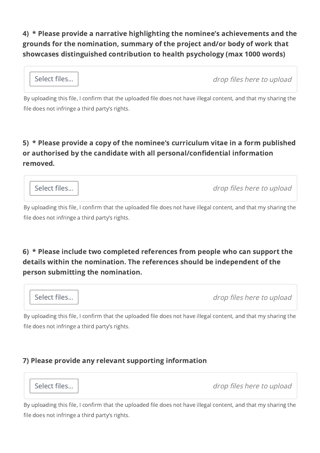4) \* Please provide a narrative highlighting the nominee's achievements and the grounds for the nomination, summary of the project and/or body of work that showcases distinguished contribution to health psychology (max 1000 words)

| Select files | drop files here to upload |
|--------------|---------------------------|
|              |                           |

By uploading this file, I confirm that the uploaded file does not have illegal content, and that my sharing the file does not infringe a third party's rights.

## 5) \* Please provide a copy of the nominee's curriculum vitae in a form published or authorised by the candidate with all personal/confidential information removed.

Select files... | and the set of the select files here to upload

By uploading this file, I confirm that the uploaded file does not have illegal content, and that my sharing the file does not infringe a third party's rights.

## 6) \* Please include two completed references from people who can support the details within the nomination. The references should be independent of the person submitting the nomination.



By uploading this file, I confirm that the uploaded file does not have illegal content, and that my sharing the file does not infringe a third party's rights.

#### 7) Please provide any relevant supporting information



Select files...  $\vert$ 

By uploading this file, I confirm that the uploaded file does not have illegal content, and that my sharing the file does not infringe a third party's rights.